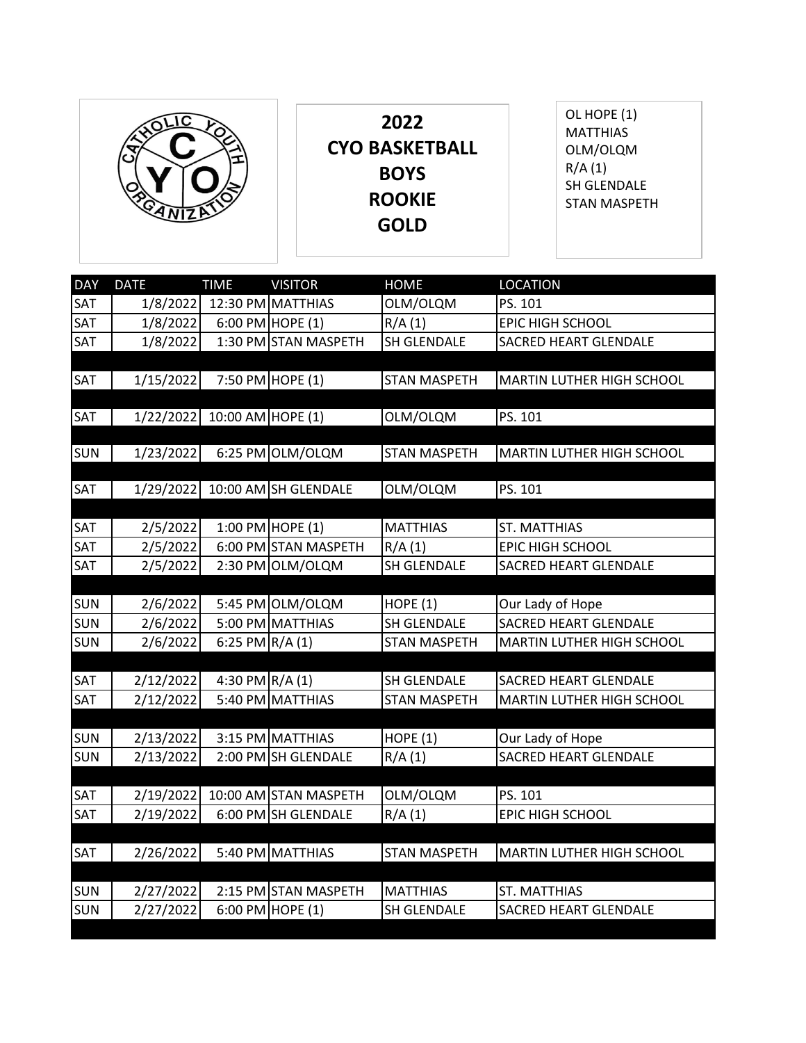

**2022 CYO BASKETBALL BOYS ROOKIE GOLD**

OL HOPE (1) **MATTHIAS** OLM/OLQM R/A (1) SH GLENDALE STAN MASPETH

| <b>DAY</b>               | <b>DATE</b> | <b>TIME</b>       | <b>VISITOR</b>        | <b>HOME</b>         | <b>LOCATION</b>                           |
|--------------------------|-------------|-------------------|-----------------------|---------------------|-------------------------------------------|
| SAT                      | 1/8/2022    |                   | 12:30 PM MATTHIAS     | OLM/OLQM            | PS. 101                                   |
| SAT                      | 1/8/2022    |                   | 6:00 PM HOPE $(1)$    | R/A(1)              | <b>EPIC HIGH SCHOOL</b>                   |
| SAT                      | 1/8/2022    |                   | 1:30 PM STAN MASPETH  | <b>SH GLENDALE</b>  | <b>SACRED HEART GLENDALE</b>              |
|                          |             |                   |                       |                     |                                           |
| <b>SAT</b>               | 1/15/2022   |                   | 7:50 PM HOPE (1)      | <b>STAN MASPETH</b> | MARTIN LUTHER HIGH SCHOOL                 |
| SAT                      | 1/22/2022   | 10:00 AM HOPE (1) |                       |                     | PS. 101                                   |
|                          |             |                   |                       | OLM/OLQM            |                                           |
| <b>SUN</b>               | 1/23/2022   |                   | 6:25 PM OLM/OLQM      | <b>STAN MASPETH</b> | MARTIN LUTHER HIGH SCHOOL                 |
|                          |             |                   |                       |                     |                                           |
| SAT                      | 1/29/2022   |                   | 10:00 AM SH GLENDALE  | OLM/OLQM            | PS. 101                                   |
|                          |             |                   |                       |                     |                                           |
| SAT                      | 2/5/2022    |                   | 1:00 PM HOPE (1)      | <b>MATTHIAS</b>     | <b>ST. MATTHIAS</b>                       |
| SAT                      | 2/5/2022    |                   | 6:00 PM STAN MASPETH  | R/A(1)              | EPIC HIGH SCHOOL                          |
| SAT                      | 2/5/2022    |                   | 2:30 PM OLM/OLQM      | SH GLENDALE         | <b>SACRED HEART GLENDALE</b>              |
|                          |             |                   |                       |                     |                                           |
| <b>SUN</b>               | 2/6/2022    |                   | 5:45 PM OLM/OLQM      | <b>HOPE (1)</b>     | Our Lady of Hope                          |
| <b>SUN</b>               | 2/6/2022    |                   | 5:00 PM MATTHIAS      | <b>SH GLENDALE</b>  | <b>SACRED HEART GLENDALE</b>              |
| <b>SUN</b>               | 2/6/2022    | 6:25 PM R/A (1)   |                       | <b>STAN MASPETH</b> | MARTIN LUTHER HIGH SCHOOL                 |
|                          |             |                   |                       |                     |                                           |
| SAT                      | 2/12/2022   | 4:30 PM R/A (1)   |                       | <b>SH GLENDALE</b>  | <b>SACRED HEART GLENDALE</b>              |
| SAT                      | 2/12/2022   |                   | 5:40 PM MATTHIAS      | <b>STAN MASPETH</b> | MARTIN LUTHER HIGH SCHOOL                 |
|                          |             |                   | 3:15 PM MATTHIAS      |                     |                                           |
| <b>SUN</b><br><b>SUN</b> | 2/13/2022   |                   | 2:00 PM SH GLENDALE   | <b>HOPE (1)</b>     | Our Lady of Hope<br>SACRED HEART GLENDALE |
|                          | 2/13/2022   |                   |                       | R/A(1)              |                                           |
| SAT                      | 2/19/2022   |                   | 10:00 AM STAN MASPETH | OLM/OLQM            | PS. 101                                   |
| SAT                      | 2/19/2022   |                   | 6:00 PM SH GLENDALE   | R/A(1)              | EPIC HIGH SCHOOL                          |
|                          |             |                   |                       |                     |                                           |
| <b>SAT</b>               | 2/26/2022   |                   | 5:40 PM MATTHIAS      | <b>STAN MASPETH</b> | MARTIN LUTHER HIGH SCHOOL                 |
|                          |             |                   |                       |                     |                                           |
| <b>SUN</b>               | 2/27/2022   |                   | 2:15 PM STAN MASPETH  | <b>MATTHIAS</b>     | <b>ST. MATTHIAS</b>                       |
| <b>SUN</b>               | 2/27/2022   |                   | 6:00 PM HOPE (1)      | SH GLENDALE         | <b>SACRED HEART GLENDALE</b>              |
|                          |             |                   |                       |                     |                                           |